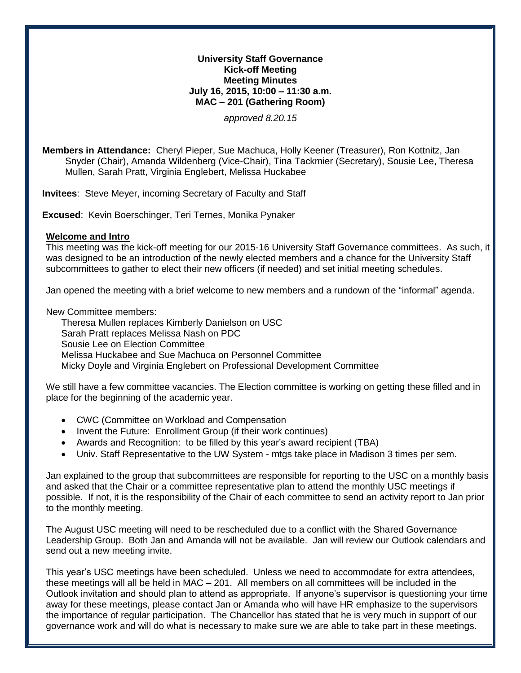## **University Staff Governance Kick-off Meeting Meeting Minutes July 16, 2015, 10:00 – 11:30 a.m. MAC – 201 (Gathering Room)**

*approved 8.20.15*

**Members in Attendance:** Cheryl Pieper, Sue Machuca, Holly Keener (Treasurer), Ron Kottnitz, Jan Snyder (Chair), Amanda Wildenberg (Vice-Chair), Tina Tackmier (Secretary), Sousie Lee, Theresa Mullen, Sarah Pratt, Virginia Englebert, Melissa Huckabee

**Invitees**: Steve Meyer, incoming Secretary of Faculty and Staff

**Excused**: Kevin Boerschinger, Teri Ternes, Monika Pynaker

## **Welcome and Intro**

This meeting was the kick-off meeting for our 2015-16 University Staff Governance committees. As such, it was designed to be an introduction of the newly elected members and a chance for the University Staff subcommittees to gather to elect their new officers (if needed) and set initial meeting schedules.

Jan opened the meeting with a brief welcome to new members and a rundown of the "informal" agenda.

New Committee members:

Theresa Mullen replaces Kimberly Danielson on USC Sarah Pratt replaces Melissa Nash on PDC Sousie Lee on Election Committee Melissa Huckabee and Sue Machuca on Personnel Committee Micky Doyle and Virginia Englebert on Professional Development Committee

We still have a few committee vacancies. The Election committee is working on getting these filled and in place for the beginning of the academic year.

- CWC (Committee on Workload and Compensation
- Invent the Future: Enrollment Group (if their work continues)
- Awards and Recognition: to be filled by this year's award recipient (TBA)
- Univ. Staff Representative to the UW System mtgs take place in Madison 3 times per sem.

Jan explained to the group that subcommittees are responsible for reporting to the USC on a monthly basis and asked that the Chair or a committee representative plan to attend the monthly USC meetings if possible. If not, it is the responsibility of the Chair of each committee to send an activity report to Jan prior to the monthly meeting.

The August USC meeting will need to be rescheduled due to a conflict with the Shared Governance Leadership Group. Both Jan and Amanda will not be available. Jan will review our Outlook calendars and send out a new meeting invite.

This year's USC meetings have been scheduled. Unless we need to accommodate for extra attendees, these meetings will all be held in MAC – 201. All members on all committees will be included in the Outlook invitation and should plan to attend as appropriate. If anyone's supervisor is questioning your time away for these meetings, please contact Jan or Amanda who will have HR emphasize to the supervisors the importance of regular participation. The Chancellor has stated that he is very much in support of our governance work and will do what is necessary to make sure we are able to take part in these meetings.